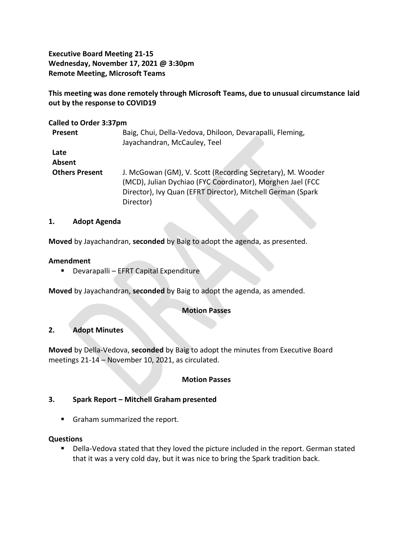**Executive Board Meeting 21-15 Wednesday, November 17, 2021 @ 3:30pm Remote Meeting, Microsoft Teams**

**This meeting was done remotely through Microsoft Teams, due to unusual circumstance laid out by the response to COVID19**

### **Called to Order 3:37pm**

| Present               | Baig, Chui, Della-Vedova, Dhiloon, Devarapalli, Fleming,<br>Jayachandran, McCauley, Teel                                                                                                             |
|-----------------------|------------------------------------------------------------------------------------------------------------------------------------------------------------------------------------------------------|
| Late<br>Absent        |                                                                                                                                                                                                      |
| <b>Others Present</b> | J. McGowan (GM), V. Scott (Recording Secretary), M. Wooder<br>(MCD), Julian Dychiao (FYC Coordinator), Morghen Jael (FCC<br>Director), Ivy Quan (EFRT Director), Mitchell German (Spark<br>Director) |

### **1. Adopt Agenda**

**Moved** by Jayachandran, **seconded** by Baig to adopt the agenda, as presented.

### **Amendment**

▪ Devarapalli – EFRT Capital Expenditure

**Moved** by Jayachandran, **seconded** by Baig to adopt the agenda, as amended.

### **Motion Passes**

### **2. Adopt Minutes**

**Moved** by Della-Vedova, **seconded** by Baig to adopt the minutes from Executive Board meetings 21-14 – November 10, 2021, as circulated.

### **Motion Passes**

### **3. Spark Report – Mitchell Graham presented**

**E** Graham summarized the report.

#### **Questions**

■ Della-Vedova stated that they loved the picture included in the report. German stated that it was a very cold day, but it was nice to bring the Spark tradition back.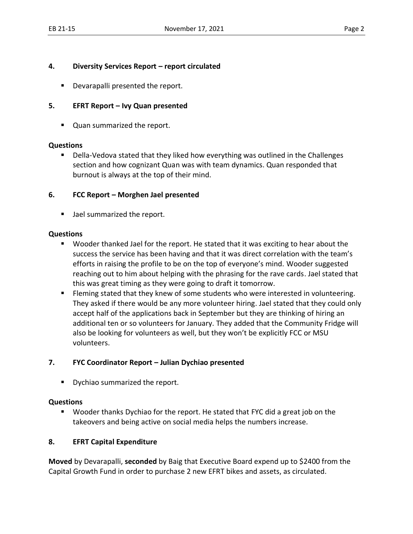## **4. Diversity Services Report – report circulated**

■ Devarapalli presented the report.

# **5. EFRT Report – Ivy Quan presented**

■ Quan summarized the report.

#### **Questions**

■ Della-Vedova stated that they liked how everything was outlined in the Challenges section and how cognizant Quan was with team dynamics. Quan responded that burnout is always at the top of their mind.

## **6. FCC Report – Morghen Jael presented**

■ Jael summarized the report.

### **Questions**

- Wooder thanked Jael for the report. He stated that it was exciting to hear about the success the service has been having and that it was direct correlation with the team's efforts in raising the profile to be on the top of everyone's mind. Wooder suggested reaching out to him about helping with the phrasing for the rave cards. Jael stated that this was great timing as they were going to draft it tomorrow.
- **EXECT** Fleming stated that they knew of some students who were interested in volunteering. They asked if there would be any more volunteer hiring. Jael stated that they could only accept half of the applications back in September but they are thinking of hiring an additional ten or so volunteers for January. They added that the Community Fridge will also be looking for volunteers as well, but they won't be explicitly FCC or MSU volunteers.

### **7. FYC Coordinator Report – Julian Dychiao presented**

■ Dychiao summarized the report.

### **Questions**

■ Wooder thanks Dychiao for the report. He stated that FYC did a great job on the takeovers and being active on social media helps the numbers increase.

# **8. EFRT Capital Expenditure**

**Moved** by Devarapalli, **seconded** by Baig that Executive Board expend up to \$2400 from the Capital Growth Fund in order to purchase 2 new EFRT bikes and assets, as circulated.